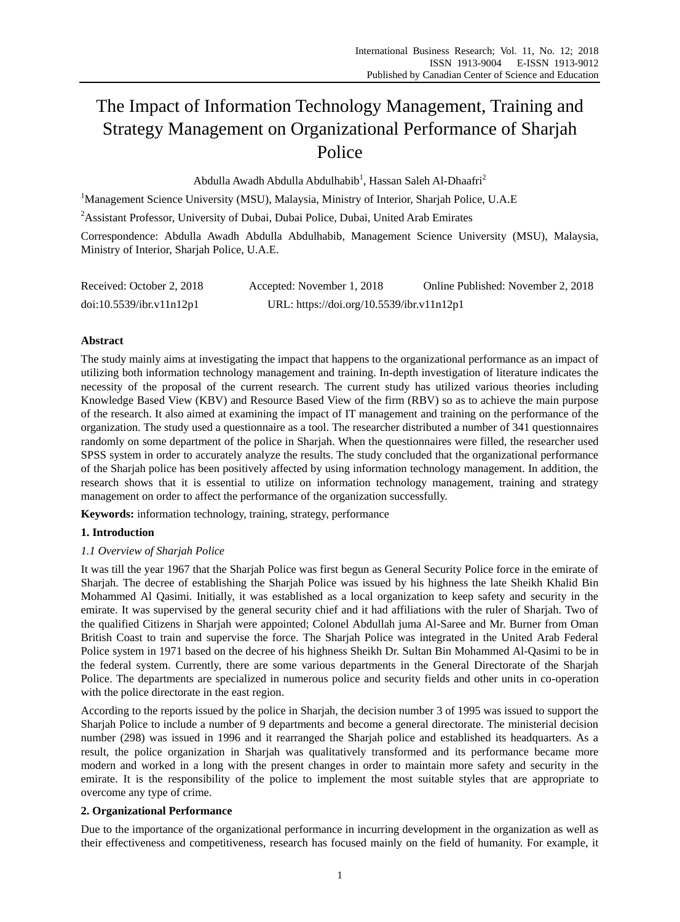# The Impact of Information Technology Management, Training and Strategy Management on Organizational Performance of Sharjah Police

Abdulla Awadh Abdulla Abdulhabib<sup>1</sup>, Hassan Saleh Al-Dhaafri<sup>2</sup>

<sup>1</sup>Management Science University (MSU), Malaysia, Ministry of Interior, Sharjah Police, U.A.E

<sup>2</sup>Assistant Professor, University of Dubai, Dubai Police, Dubai, United Arab Emirates

Correspondence: Abdulla Awadh Abdulla Abdulhabib, Management Science University (MSU), Malaysia, Ministry of Interior, Sharjah Police, U.A.E.

| Received: October 2, 2018 | Accepted: November 1, 2018                | Online Published: November 2, 2018 |
|---------------------------|-------------------------------------------|------------------------------------|
| doi:10.5539/ibr.v11n12p1  | URL: https://doi.org/10.5539/ibr.v11n12p1 |                                    |

# **Abstract**

The study mainly aims at investigating the impact that happens to the organizational performance as an impact of utilizing both information technology management and training. In-depth investigation of literature indicates the necessity of the proposal of the current research. The current study has utilized various theories including Knowledge Based View (KBV) and Resource Based View of the firm (RBV) so as to achieve the main purpose of the research. It also aimed at examining the impact of IT management and training on the performance of the organization. The study used a questionnaire as a tool. The researcher distributed a number of 341 questionnaires randomly on some department of the police in Sharjah. When the questionnaires were filled, the researcher used SPSS system in order to accurately analyze the results. The study concluded that the organizational performance of the Sharjah police has been positively affected by using information technology management. In addition, the research shows that it is essential to utilize on information technology management, training and strategy management on order to affect the performance of the organization successfully.

**Keywords:** information technology, training, strategy, performance

# **1. Introduction**

#### *1.1 Overview of Sharjah Police*

It was till the year 1967 that the Sharjah Police was first begun as General Security Police force in the emirate of Sharjah. The decree of establishing the Sharjah Police was issued by his highness the late Sheikh Khalid Bin Mohammed Al Qasimi. Initially, it was established as a local organization to keep safety and security in the emirate. It was supervised by the general security chief and it had affiliations with the ruler of Sharjah. Two of the qualified Citizens in Sharjah were appointed; Colonel Abdullah juma Al-Saree and Mr. Burner from Oman British Coast to train and supervise the force. The Sharjah Police was integrated in the United Arab Federal Police system in 1971 based on the decree of his highness Sheikh Dr. Sultan Bin Mohammed Al-Qasimi to be in the federal system. Currently, there are some various departments in the General Directorate of the Sharjah Police. The departments are specialized in numerous police and security fields and other units in co-operation with the police directorate in the east region.

According to the reports issued by the police in Sharjah, the decision number 3 of 1995 was issued to support the Sharjah Police to include a number of 9 departments and become a general directorate. The ministerial decision number (298) was issued in 1996 and it rearranged the Sharjah police and established its headquarters. As a result, the police organization in Sharjah was qualitatively transformed and its performance became more modern and worked in a long with the present changes in order to maintain more safety and security in the emirate. It is the responsibility of the police to implement the most suitable styles that are appropriate to overcome any type of crime.

#### **2. Organizational Performance**

Due to the importance of the organizational performance in incurring development in the organization as well as their effectiveness and competitiveness, research has focused mainly on the field of humanity. For example, it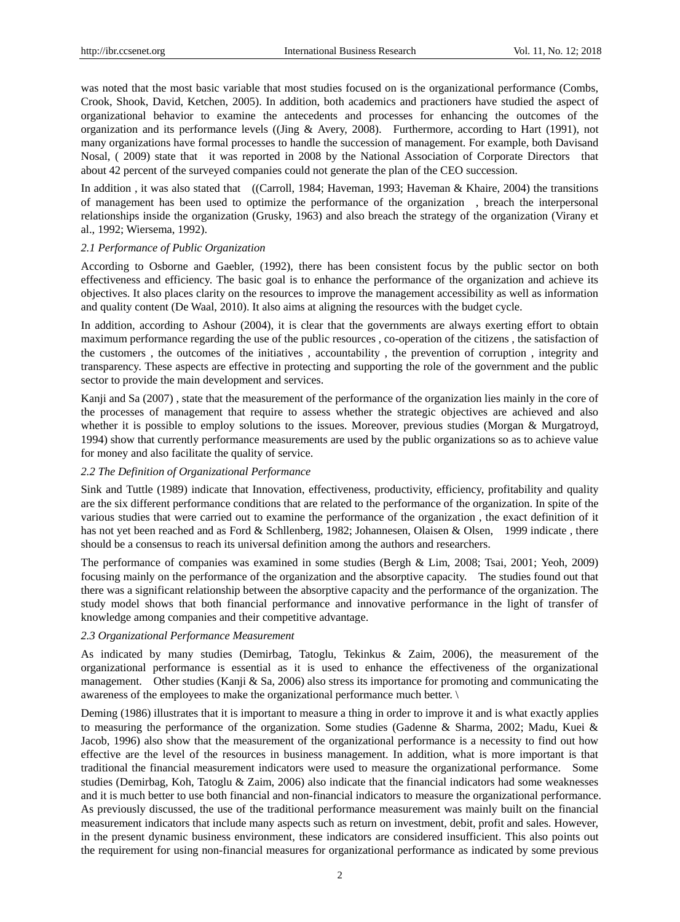was noted that the most basic variable that most studies focused on is the organizational performance (Combs, Crook, Shook, David, Ketchen, 2005). In addition, both academics and practioners have studied the aspect of organizational behavior to examine the antecedents and processes for enhancing the outcomes of the organization and its performance levels ((Jing & Avery, 2008). Furthermore, according to Hart (1991), not many organizations have formal processes to handle the succession of management. For example, both Davisand Nosal, ( 2009) state that it was reported in 2008 by the National Association of Corporate Directors that about 42 percent of the surveyed companies could not generate the plan of the CEO succession.

In addition , it was also stated that ((Carroll, 1984; Haveman, 1993; Haveman & Khaire, 2004) the transitions of management has been used to optimize the performance of the organization , breach the interpersonal relationships inside the organization (Grusky, 1963) and also breach the strategy of the organization (Virany et al., 1992; Wiersema, 1992).

#### *2.1 Performance of Public Organization*

According to Osborne and Gaebler, (1992), there has been consistent focus by the public sector on both effectiveness and efficiency. The basic goal is to enhance the performance of the organization and achieve its objectives. It also places clarity on the resources to improve the management accessibility as well as information and quality content (De Waal, 2010). It also aims at aligning the resources with the budget cycle.

In addition, according to Ashour (2004), it is clear that the governments are always exerting effort to obtain maximum performance regarding the use of the public resources , co-operation of the citizens , the satisfaction of the customers , the outcomes of the initiatives , accountability , the prevention of corruption , integrity and transparency. These aspects are effective in protecting and supporting the role of the government and the public sector to provide the main development and services.

Kanji and Sa (2007) , state that the measurement of the performance of the organization lies mainly in the core of the processes of management that require to assess whether the strategic objectives are achieved and also whether it is possible to employ solutions to the issues. Moreover, previous studies (Morgan & Murgatroyd, 1994) show that currently performance measurements are used by the public organizations so as to achieve value for money and also facilitate the quality of service.

# *2.2 The Definition of Organizational Performance*

Sink and Tuttle (1989) indicate that Innovation, effectiveness, productivity, efficiency, profitability and quality are the six different performance conditions that are related to the performance of the organization. In spite of the various studies that were carried out to examine the performance of the organization , the exact definition of it has not yet been reached and as Ford & Schllenberg, 1982; Johannesen, Olaisen & Olsen, 1999 indicate , there should be a consensus to reach its universal definition among the authors and researchers.

The performance of companies was examined in some studies (Bergh & Lim, 2008; Tsai, 2001; Yeoh, 2009) focusing mainly on the performance of the organization and the absorptive capacity. The studies found out that there was a significant relationship between the absorptive capacity and the performance of the organization. The study model shows that both financial performance and innovative performance in the light of transfer of knowledge among companies and their competitive advantage.

# *2.3 Organizational Performance Measurement*

As indicated by many studies (Demirbag, Tatoglu, Tekinkus & Zaim, 2006), the measurement of the organizational performance is essential as it is used to enhance the effectiveness of the organizational management. Other studies (Kanji & Sa, 2006) also stress its importance for promoting and communicating the awareness of the employees to make the organizational performance much better. \

Deming (1986) illustrates that it is important to measure a thing in order to improve it and is what exactly applies to measuring the performance of the organization. Some studies (Gadenne & Sharma, 2002; Madu, Kuei & Jacob, 1996) also show that the measurement of the organizational performance is a necessity to find out how effective are the level of the resources in business management. In addition, what is more important is that traditional the financial measurement indicators were used to measure the organizational performance. Some studies (Demirbag, Koh, Tatoglu & Zaim, 2006) also indicate that the financial indicators had some weaknesses and it is much better to use both financial and non-financial indicators to measure the organizational performance. As previously discussed, the use of the traditional performance measurement was mainly built on the financial measurement indicators that include many aspects such as return on investment, debit, profit and sales. However, in the present dynamic business environment, these indicators are considered insufficient. This also points out the requirement for using non-financial measures for organizational performance as indicated by some previous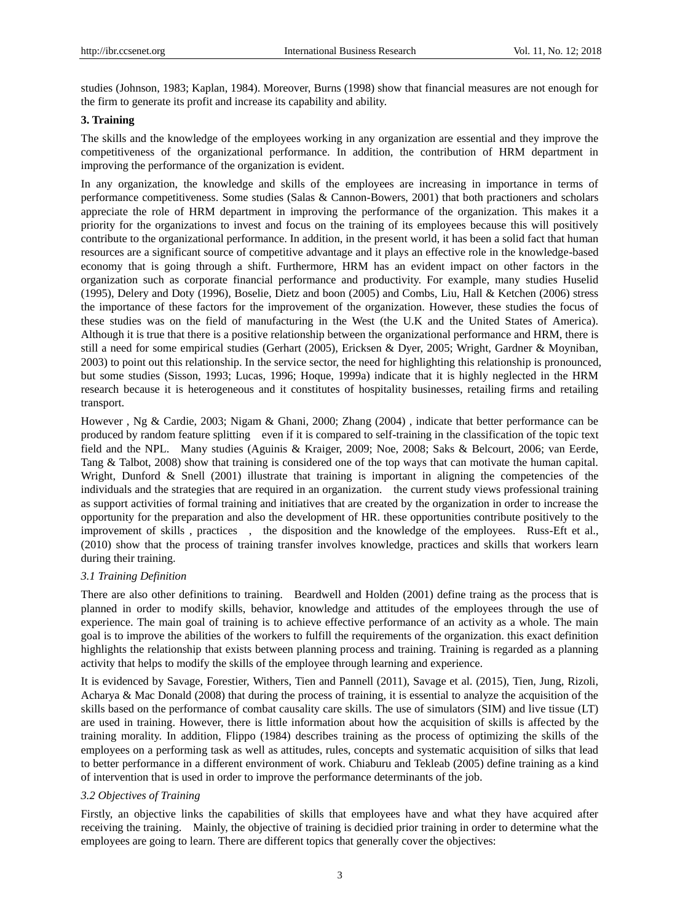studies (Johnson, 1983; Kaplan, 1984). Moreover, Burns (1998) show that financial measures are not enough for the firm to generate its profit and increase its capability and ability.

#### **3. Training**

The skills and the knowledge of the employees working in any organization are essential and they improve the competitiveness of the organizational performance. In addition, the contribution of HRM department in improving the performance of the organization is evident.

In any organization, the knowledge and skills of the employees are increasing in importance in terms of performance competitiveness. Some studies (Salas & Cannon-Bowers, 2001) that both practioners and scholars appreciate the role of HRM department in improving the performance of the organization. This makes it a priority for the organizations to invest and focus on the training of its employees because this will positively contribute to the organizational performance. In addition, in the present world, it has been a solid fact that human resources are a significant source of competitive advantage and it plays an effective role in the knowledge-based economy that is going through a shift. Furthermore, HRM has an evident impact on other factors in the organization such as corporate financial performance and productivity. For example, many studies Huselid (1995), Delery and Doty (1996), Boselie, Dietz and boon (2005) and Combs, Liu, Hall & Ketchen (2006) stress the importance of these factors for the improvement of the organization. However, these studies the focus of these studies was on the field of manufacturing in the West (the U.K and the United States of America). Although it is true that there is a positive relationship between the organizational performance and HRM, there is still a need for some empirical studies (Gerhart (2005), Ericksen & Dyer, 2005; Wright, Gardner & Moyniban, 2003) to point out this relationship. In the service sector, the need for highlighting this relationship is pronounced, but some studies (Sisson, 1993; Lucas, 1996; Hoque, 1999a) indicate that it is highly neglected in the HRM research because it is heterogeneous and it constitutes of hospitality businesses, retailing firms and retailing transport.

However , Ng & Cardie, 2003; Nigam & Ghani, 2000; Zhang (2004) , indicate that better performance can be produced by random feature splitting even if it is compared to self-training in the classification of the topic text field and the NPL. Many studies (Aguinis & Kraiger, 2009; Noe, 2008; Saks & Belcourt, 2006; van Eerde, Tang & Talbot, 2008) show that training is considered one of the top ways that can motivate the human capital. Wright, Dunford & Snell (2001) illustrate that training is important in aligning the competencies of the individuals and the strategies that are required in an organization. the current study views professional training as support activities of formal training and initiatives that are created by the organization in order to increase the opportunity for the preparation and also the development of HR. these opportunities contribute positively to the improvement of skills , practices , the disposition and the knowledge of the employees. Russ-Eft et al., (2010) show that the process of training transfer involves knowledge, practices and skills that workers learn during their training.

# *3.1 Training Definition*

There are also other definitions to training. Beardwell and Holden (2001) define traing as the process that is planned in order to modify skills, behavior, knowledge and attitudes of the employees through the use of experience. The main goal of training is to achieve effective performance of an activity as a whole. The main goal is to improve the abilities of the workers to fulfill the requirements of the organization. this exact definition highlights the relationship that exists between planning process and training. Training is regarded as a planning activity that helps to modify the skills of the employee through learning and experience.

It is evidenced by Savage, Forestier, Withers, Tien and Pannell (2011), Savage et al. (2015), Tien, Jung, Rizoli, Acharya & Mac Donald (2008) that during the process of training, it is essential to analyze the acquisition of the skills based on the performance of combat causality care skills. The use of simulators (SIM) and live tissue (LT) are used in training. However, there is little information about how the acquisition of skills is affected by the training morality. In addition, Flippo (1984) describes training as the process of optimizing the skills of the employees on a performing task as well as attitudes, rules, concepts and systematic acquisition of silks that lead to better performance in a different environment of work. Chiaburu and Tekleab (2005) define training as a kind of intervention that is used in order to improve the performance determinants of the job.

#### *3.2 Objectives of Training*

Firstly, an objective links the capabilities of skills that employees have and what they have acquired after receiving the training. Mainly, the objective of training is decidied prior training in order to determine what the employees are going to learn. There are different topics that generally cover the objectives: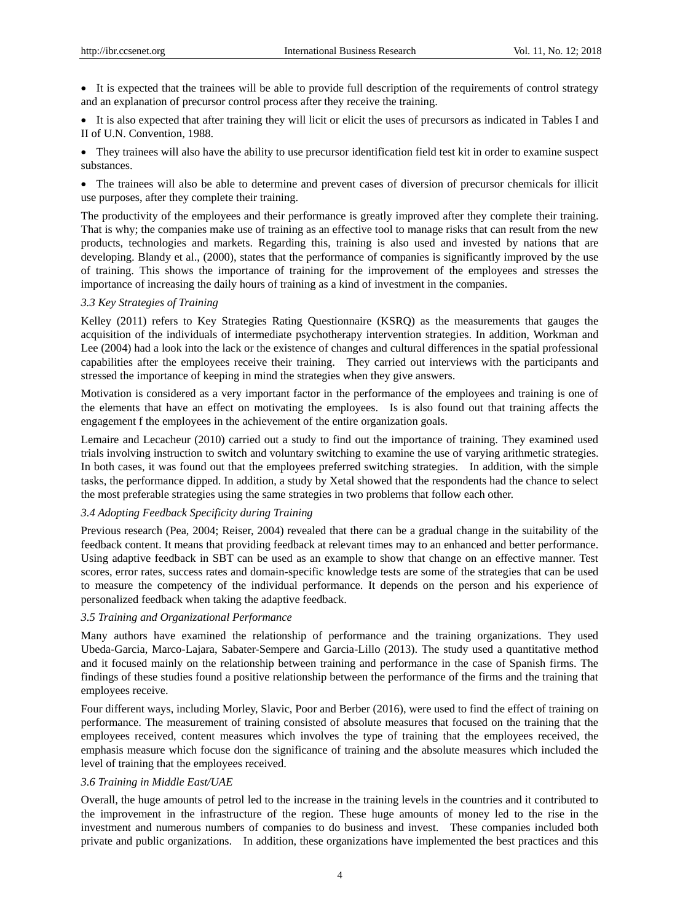It is expected that the trainees will be able to provide full description of the requirements of control strategy and an explanation of precursor control process after they receive the training.

 It is also expected that after training they will licit or elicit the uses of precursors as indicated in Tables I and II of U.N. Convention, 1988.

 They trainees will also have the ability to use precursor identification field test kit in order to examine suspect substances.

 The trainees will also be able to determine and prevent cases of diversion of precursor chemicals for illicit use purposes, after they complete their training.

The productivity of the employees and their performance is greatly improved after they complete their training. That is why; the companies make use of training as an effective tool to manage risks that can result from the new products, technologies and markets. Regarding this, training is also used and invested by nations that are developing. Blandy et al., (2000), states that the performance of companies is significantly improved by the use of training. This shows the importance of training for the improvement of the employees and stresses the importance of increasing the daily hours of training as a kind of investment in the companies.

#### *3.3 Key Strategies of Training*

Kelley (2011) refers to Key Strategies Rating Questionnaire (KSRQ) as the measurements that gauges the acquisition of the individuals of intermediate psychotherapy intervention strategies. In addition, Workman and Lee (2004) had a look into the lack or the existence of changes and cultural differences in the spatial professional capabilities after the employees receive their training. They carried out interviews with the participants and stressed the importance of keeping in mind the strategies when they give answers.

Motivation is considered as a very important factor in the performance of the employees and training is one of the elements that have an effect on motivating the employees. Is is also found out that training affects the engagement f the employees in the achievement of the entire organization goals.

Lemaire and Lecacheur (2010) carried out a study to find out the importance of training. They examined used trials involving instruction to switch and voluntary switching to examine the use of varying arithmetic strategies. In both cases, it was found out that the employees preferred switching strategies. In addition, with the simple tasks, the performance dipped. In addition, a study by Xetal showed that the respondents had the chance to select the most preferable strategies using the same strategies in two problems that follow each other.

#### *3.4 Adopting Feedback Specificity during Training*

Previous research (Pea, 2004; Reiser, 2004) revealed that there can be a gradual change in the suitability of the feedback content. It means that providing feedback at relevant times may to an enhanced and better performance. Using adaptive feedback in SBT can be used as an example to show that change on an effective manner. Test scores, error rates, success rates and domain-specific knowledge tests are some of the strategies that can be used to measure the competency of the individual performance. It depends on the person and his experience of personalized feedback when taking the adaptive feedback.

#### *3.5 Training and Organizational Performance*

Many authors have examined the relationship of performance and the training organizations. They used Ubeda-Garcia, Marco-Lajara, Sabater-Sempere and Garcia-Lillo (2013). The study used a quantitative method and it focused mainly on the relationship between training and performance in the case of Spanish firms. The findings of these studies found a positive relationship between the performance of the firms and the training that employees receive.

Four different ways, including Morley, Slavic, Poor and Berber (2016), were used to find the effect of training on performance. The measurement of training consisted of absolute measures that focused on the training that the employees received, content measures which involves the type of training that the employees received, the emphasis measure which focuse don the significance of training and the absolute measures which included the level of training that the employees received.

#### *3.6 Training in Middle East/UAE*

Overall, the huge amounts of petrol led to the increase in the training levels in the countries and it contributed to the improvement in the infrastructure of the region. These huge amounts of money led to the rise in the investment and numerous numbers of companies to do business and invest. These companies included both private and public organizations. In addition, these organizations have implemented the best practices and this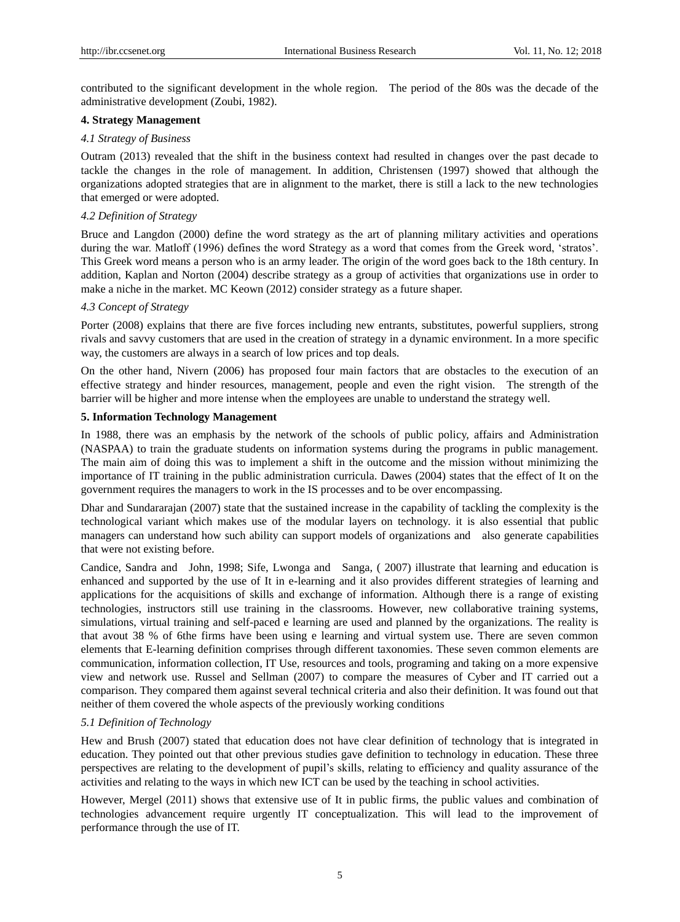contributed to the significant development in the whole region. The period of the 80s was the decade of the administrative development (Zoubi, 1982).

# **4. Strategy Management**

#### *4.1 Strategy of Business*

Outram (2013) revealed that the shift in the business context had resulted in changes over the past decade to tackle the changes in the role of management. In addition, Christensen (1997) showed that although the organizations adopted strategies that are in alignment to the market, there is still a lack to the new technologies that emerged or were adopted.

## *4.2 Definition of Strategy*

Bruce and Langdon (2000) define the word strategy as the art of planning military activities and operations during the war. Matloff (1996) defines the word Strategy as a word that comes from the Greek word, 'stratos'. This Greek word means a person who is an army leader. The origin of the word goes back to the 18th century. In addition, Kaplan and Norton (2004) describe strategy as a group of activities that organizations use in order to make a niche in the market. MC Keown (2012) consider strategy as a future shaper.

## *4.3 Concept of Strategy*

Porter (2008) explains that there are five forces including new entrants, substitutes, powerful suppliers, strong rivals and savvy customers that are used in the creation of strategy in a dynamic environment. In a more specific way, the customers are always in a search of low prices and top deals.

On the other hand, Nivern (2006) has proposed four main factors that are obstacles to the execution of an effective strategy and hinder resources, management, people and even the right vision. The strength of the barrier will be higher and more intense when the employees are unable to understand the strategy well.

#### **5. Information Technology Management**

In 1988, there was an emphasis by the network of the schools of public policy, affairs and Administration (NASPAA) to train the graduate students on information systems during the programs in public management. The main aim of doing this was to implement a shift in the outcome and the mission without minimizing the importance of IT training in the public administration curricula. Dawes (2004) states that the effect of It on the government requires the managers to work in the IS processes and to be over encompassing.

Dhar and Sundararajan (2007) state that the sustained increase in the capability of tackling the complexity is the technological variant which makes use of the modular layers on technology. it is also essential that public managers can understand how such ability can support models of organizations and also generate capabilities that were not existing before.

Candice, Sandra and John, 1998; Sife, Lwonga and Sanga, ( 2007) illustrate that learning and education is enhanced and supported by the use of It in e-learning and it also provides different strategies of learning and applications for the acquisitions of skills and exchange of information. Although there is a range of existing technologies, instructors still use training in the classrooms. However, new collaborative training systems, simulations, virtual training and self-paced e learning are used and planned by the organizations. The reality is that avout 38 % of 6the firms have been using e learning and virtual system use. There are seven common elements that E-learning definition comprises through different taxonomies. These seven common elements are communication, information collection, IT Use, resources and tools, programing and taking on a more expensive view and network use. Russel and Sellman (2007) to compare the measures of Cyber and IT carried out a comparison. They compared them against several technical criteria and also their definition. It was found out that neither of them covered the whole aspects of the previously working conditions

# *5.1 Definition of Technology*

Hew and Brush (2007) stated that education does not have clear definition of technology that is integrated in education. They pointed out that other previous studies gave definition to technology in education. These three perspectives are relating to the development of pupil"s skills, relating to efficiency and quality assurance of the activities and relating to the ways in which new ICT can be used by the teaching in school activities.

However, Mergel (2011) shows that extensive use of It in public firms, the public values and combination of technologies advancement require urgently IT conceptualization. This will lead to the improvement of performance through the use of IT.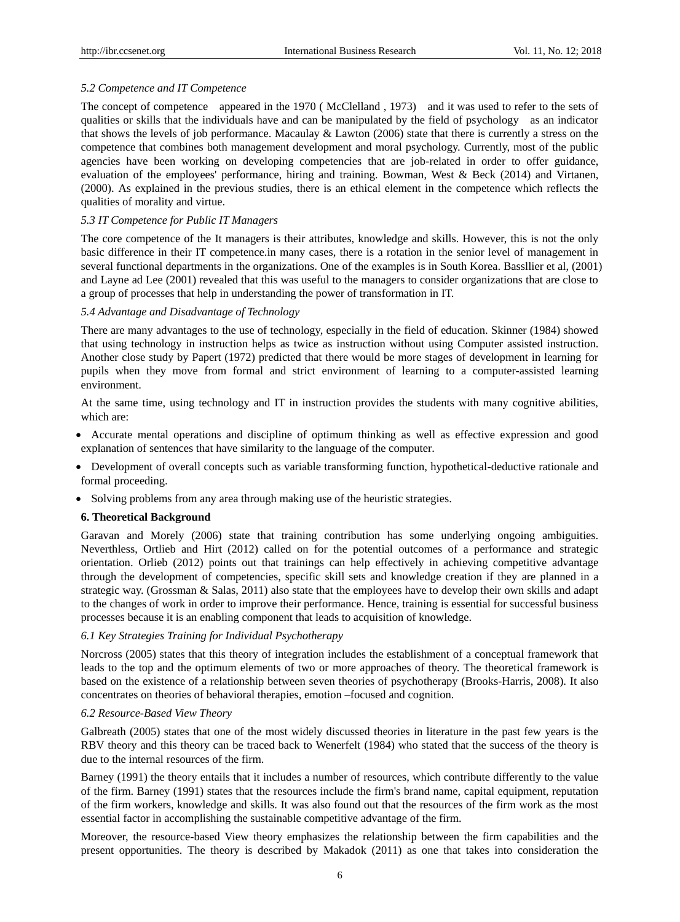#### *5.2 Competence and IT Competence*

The concept of competence appeared in the 1970 ( McClelland , 1973) and it was used to refer to the sets of qualities or skills that the individuals have and can be manipulated by the field of psychology as an indicator that shows the levels of job performance. Macaulay & Lawton (2006) state that there is currently a stress on the competence that combines both management development and moral psychology. Currently, most of the public agencies have been working on developing competencies that are job-related in order to offer guidance, evaluation of the employees' performance, hiring and training. Bowman, West & Beck (2014) and Virtanen, (2000). As explained in the previous studies, there is an ethical element in the competence which reflects the qualities of morality and virtue.

## *5.3 IT Competence for Public IT Managers*

The core competence of the It managers is their attributes, knowledge and skills. However, this is not the only basic difference in their IT competence.in many cases, there is a rotation in the senior level of management in several functional departments in the organizations. One of the examples is in South Korea. Bassllier et al, (2001) and Layne ad Lee (2001) revealed that this was useful to the managers to consider organizations that are close to a group of processes that help in understanding the power of transformation in IT.

#### *5.4 Advantage and Disadvantage of Technology*

There are many advantages to the use of technology, especially in the field of education. Skinner (1984) showed that using technology in instruction helps as twice as instruction without using Computer assisted instruction. Another close study by Papert (1972) predicted that there would be more stages of development in learning for pupils when they move from formal and strict environment of learning to a computer-assisted learning environment.

At the same time, using technology and IT in instruction provides the students with many cognitive abilities, which are:

- Accurate mental operations and discipline of optimum thinking as well as effective expression and good explanation of sentences that have similarity to the language of the computer.
- Development of overall concepts such as variable transforming function, hypothetical-deductive rationale and formal proceeding.
- Solving problems from any area through making use of the heuristic strategies.

#### **6. Theoretical Background**

Garavan and Morely (2006) state that training contribution has some underlying ongoing ambiguities. Neverthless, Ortlieb and Hirt (2012) called on for the potential outcomes of a performance and strategic orientation. Orlieb (2012) points out that trainings can help effectively in achieving competitive advantage through the development of competencies, specific skill sets and knowledge creation if they are planned in a strategic way. (Grossman & Salas, 2011) also state that the employees have to develop their own skills and adapt to the changes of work in order to improve their performance. Hence, training is essential for successful business processes because it is an enabling component that leads to acquisition of knowledge.

#### *6.1 Key Strategies Training for Individual Psychotherapy*

Norcross (2005) states that this theory of integration includes the establishment of a conceptual framework that leads to the top and the optimum elements of two or more approaches of theory. The theoretical framework is based on the existence of a relationship between seven theories of psychotherapy (Brooks-Harris, 2008). It also concentrates on theories of behavioral therapies, emotion –focused and cognition.

#### *6.2 Resource-Based View Theory*

Galbreath (2005) states that one of the most widely discussed theories in literature in the past few years is the RBV theory and this theory can be traced back to Wenerfelt (1984) who stated that the success of the theory is due to the internal resources of the firm.

Barney (1991) the theory entails that it includes a number of resources, which contribute differently to the value of the firm. Barney (1991) states that the resources include the firm's brand name, capital equipment, reputation of the firm workers, knowledge and skills. It was also found out that the resources of the firm work as the most essential factor in accomplishing the sustainable competitive advantage of the firm.

Moreover, the resource-based View theory emphasizes the relationship between the firm capabilities and the present opportunities. The theory is described by Makadok (2011) as one that takes into consideration the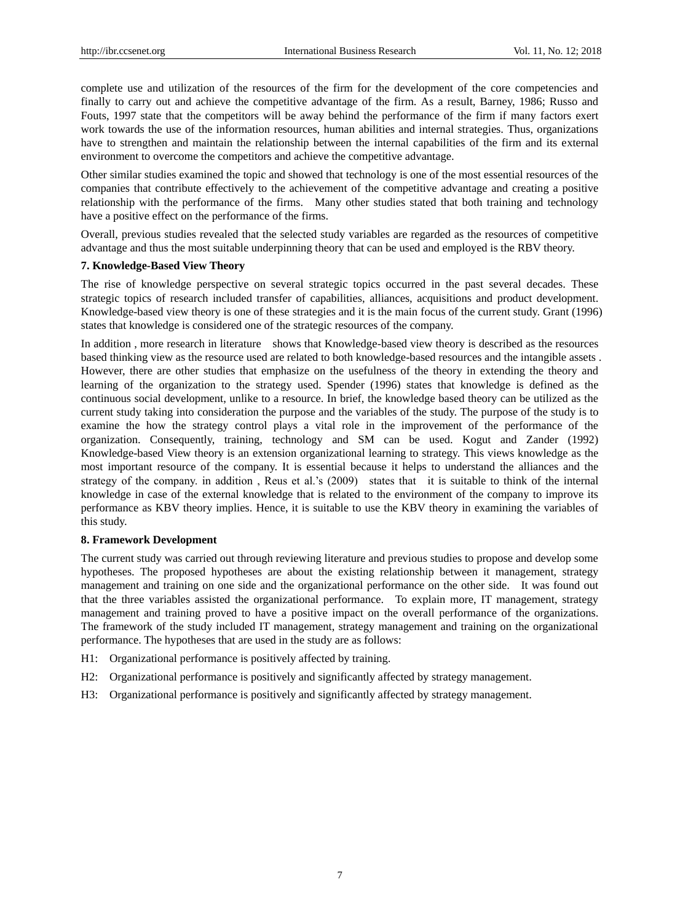complete use and utilization of the resources of the firm for the development of the core competencies and finally to carry out and achieve the competitive advantage of the firm. As a result, Barney, 1986; Russo and Fouts, 1997 state that the competitors will be away behind the performance of the firm if many factors exert work towards the use of the information resources, human abilities and internal strategies. Thus, organizations have to strengthen and maintain the relationship between the internal capabilities of the firm and its external environment to overcome the competitors and achieve the competitive advantage.

Other similar studies examined the topic and showed that technology is one of the most essential resources of the companies that contribute effectively to the achievement of the competitive advantage and creating a positive relationship with the performance of the firms. Many other studies stated that both training and technology have a positive effect on the performance of the firms.

Overall, previous studies revealed that the selected study variables are regarded as the resources of competitive advantage and thus the most suitable underpinning theory that can be used and employed is the RBV theory.

#### **7. Knowledge-Based View Theory**

The rise of knowledge perspective on several strategic topics occurred in the past several decades. These strategic topics of research included transfer of capabilities, alliances, acquisitions and product development. Knowledge-based view theory is one of these strategies and it is the main focus of the current study. Grant (1996) states that knowledge is considered one of the strategic resources of the company.

In addition , more research in literature shows that Knowledge-based view theory is described as the resources based thinking view as the resource used are related to both knowledge-based resources and the intangible assets . However, there are other studies that emphasize on the usefulness of the theory in extending the theory and learning of the organization to the strategy used. Spender (1996) states that knowledge is defined as the continuous social development, unlike to a resource. In brief, the knowledge based theory can be utilized as the current study taking into consideration the purpose and the variables of the study. The purpose of the study is to examine the how the strategy control plays a vital role in the improvement of the performance of the organization. Consequently, training, technology and SM can be used. Kogut and Zander (1992) Knowledge-based View theory is an extension organizational learning to strategy. This views knowledge as the most important resource of the company. It is essential because it helps to understand the alliances and the strategy of the company. in addition, Reus et al.'s (2009) states that it is suitable to think of the internal knowledge in case of the external knowledge that is related to the environment of the company to improve its performance as KBV theory implies. Hence, it is suitable to use the KBV theory in examining the variables of this study.

#### **8. Framework Development**

The current study was carried out through reviewing literature and previous studies to propose and develop some hypotheses. The proposed hypotheses are about the existing relationship between it management, strategy management and training on one side and the organizational performance on the other side. It was found out that the three variables assisted the organizational performance. To explain more, IT management, strategy management and training proved to have a positive impact on the overall performance of the organizations. The framework of the study included IT management, strategy management and training on the organizational performance. The hypotheses that are used in the study are as follows:

- H1: Organizational performance is positively affected by training.
- H2: Organizational performance is positively and significantly affected by strategy management.
- H3: Organizational performance is positively and significantly affected by strategy management.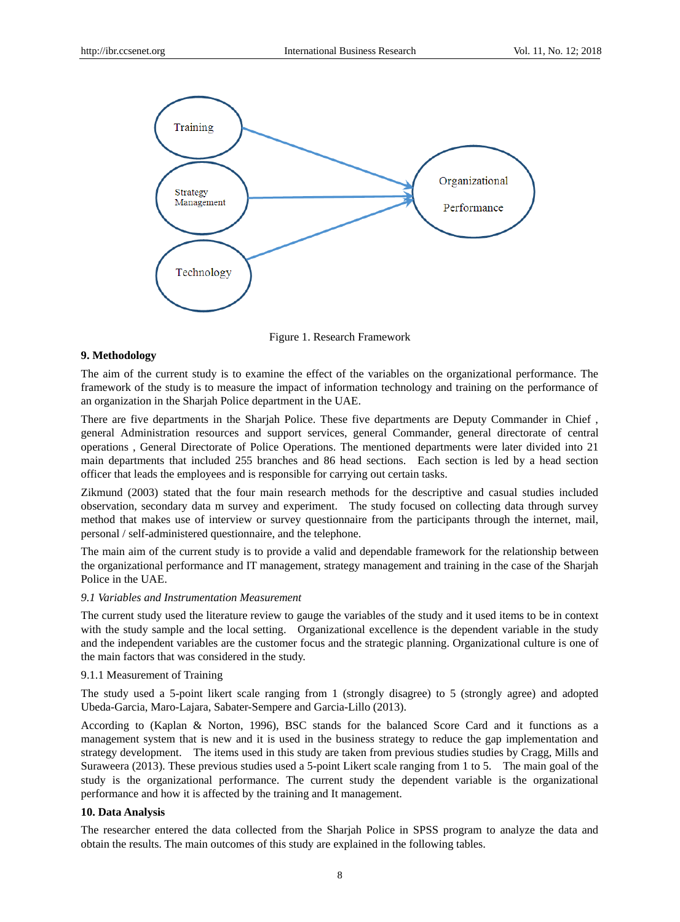

Figure 1. Research Framework

#### **9. Methodology**

The aim of the current study is to examine the effect of the variables on the organizational performance. The framework of the study is to measure the impact of information technology and training on the performance of an organization in the Sharjah Police department in the UAE.

There are five departments in the Sharjah Police. These five departments are Deputy Commander in Chief , general Administration resources and support services, general Commander, general directorate of central operations , General Directorate of Police Operations. The mentioned departments were later divided into 21 main departments that included 255 branches and 86 head sections. Each section is led by a head section officer that leads the employees and is responsible for carrying out certain tasks.

Zikmund (2003) stated that the four main research methods for the descriptive and casual studies included observation, secondary data m survey and experiment. The study focused on collecting data through survey method that makes use of interview or survey questionnaire from the participants through the internet, mail, personal / self-administered questionnaire, and the telephone.

The main aim of the current study is to provide a valid and dependable framework for the relationship between the organizational performance and IT management, strategy management and training in the case of the Sharjah Police in the UAE.

# *9.1 Variables and Instrumentation Measurement*

The current study used the literature review to gauge the variables of the study and it used items to be in context with the study sample and the local setting. Organizational excellence is the dependent variable in the study and the independent variables are the customer focus and the strategic planning. Organizational culture is one of the main factors that was considered in the study.

# 9.1.1 Measurement of Training

The study used a 5-point likert scale ranging from 1 (strongly disagree) to 5 (strongly agree) and adopted Ubeda-Garcia, Maro-Lajara, Sabater-Sempere and Garcia-Lillo (2013).

According to (Kaplan & Norton, 1996), BSC stands for the balanced Score Card and it functions as a management system that is new and it is used in the business strategy to reduce the gap implementation and strategy development. The items used in this study are taken from previous studies studies by Cragg, Mills and Suraweera (2013). These previous studies used a 5-point Likert scale ranging from 1 to 5. The main goal of the study is the organizational performance. The current study the dependent variable is the organizational performance and how it is affected by the training and It management.

# **10. Data Analysis**

The researcher entered the data collected from the Sharjah Police in SPSS program to analyze the data and obtain the results. The main outcomes of this study are explained in the following tables.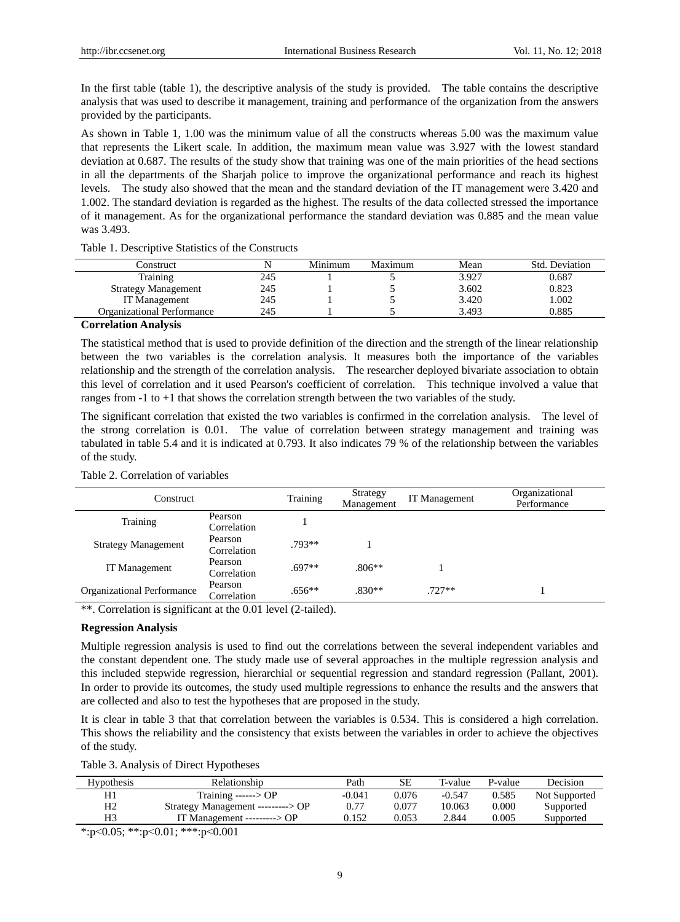In the first table (table 1), the descriptive analysis of the study is provided. The table contains the descriptive analysis that was used to describe it management, training and performance of the organization from the answers provided by the participants.

As shown in Table 1, 1.00 was the minimum value of all the constructs whereas 5.00 was the maximum value that represents the Likert scale. In addition, the maximum mean value was 3.927 with the lowest standard deviation at 0.687. The results of the study show that training was one of the main priorities of the head sections in all the departments of the Sharjah police to improve the organizational performance and reach its highest levels. The study also showed that the mean and the standard deviation of the IT management were 3.420 and 1.002. The standard deviation is regarded as the highest. The results of the data collected stressed the importance of it management. As for the organizational performance the standard deviation was 0.885 and the mean value was 3.493.

Table 1. Descriptive Statistics of the Constructs

| Construct                  |     | Minimum | Maximum | Mean  | Std. Deviation |
|----------------------------|-----|---------|---------|-------|----------------|
| Training                   | 245 |         |         | 3.927 | 0.687          |
| <b>Strategy Management</b> | 245 |         |         | 3.602 | 0.823          |
| IT Management              | 245 |         |         | 3.420 | 1.002          |
| Organizational Performance | 245 |         |         | 3.493 | 0.885          |
|                            |     |         |         |       |                |

#### **Correlation Analysis**

The statistical method that is used to provide definition of the direction and the strength of the linear relationship between the two variables is the correlation analysis. It measures both the importance of the variables relationship and the strength of the correlation analysis. The researcher deployed bivariate association to obtain this level of correlation and it used Pearson's coefficient of correlation. This technique involved a value that ranges from -1 to +1 that shows the correlation strength between the two variables of the study.

The significant correlation that existed the two variables is confirmed in the correlation analysis. The level of the strong correlation is 0.01. The value of correlation between strategy management and training was tabulated in table 5.4 and it is indicated at 0.793. It also indicates 79 % of the relationship between the variables of the study.

| Construct                  |                        | Training | Strategy<br>Management | <b>IT</b> Management | Organizational<br>Performance |
|----------------------------|------------------------|----------|------------------------|----------------------|-------------------------------|
| Training                   | Pearson<br>Correlation |          |                        |                      |                               |
| <b>Strategy Management</b> | Pearson<br>Correlation | $.793**$ |                        |                      |                               |
| <b>IT</b> Management       | Pearson<br>Correlation | $.697**$ | $.806**$               |                      |                               |
| Organizational Performance | Pearson<br>Correlation | $.656**$ | $.830**$               | $.727**$             |                               |

# Table 2. Correlation of variables

\*\*. Correlation is significant at the 0.01 level (2-tailed).

#### **Regression Analysis**

Multiple regression analysis is used to find out the correlations between the several independent variables and the constant dependent one. The study made use of several approaches in the multiple regression analysis and this included stepwide regression, hierarchial or sequential regression and standard regression (Pallant, 2001). In order to provide its outcomes, the study used multiple regressions to enhance the results and the answers that are collected and also to test the hypotheses that are proposed in the study.

It is clear in table 3 that that correlation between the variables is 0.534. This is considered a high correlation. This shows the reliability and the consistency that exists between the variables in order to achieve the objectives of the study.

|  | Table 3. Analysis of Direct Hypotheses |
|--|----------------------------------------|
|  |                                        |

| <b>Hypothesis</b> | Relationship                      | Path     | SF    | T-value  | P-value | Decision      |
|-------------------|-----------------------------------|----------|-------|----------|---------|---------------|
| H1                | Training $--->OP$                 | $-0.041$ | 0.076 | $-0.547$ | 0.585   | Not Supported |
| H <sub>2</sub>    | Strategy Management ---------> OP | 0.77     | 0.077 | 10.063   | 0.000   | Supported     |
| H3                | IT Management ---------> $OP$     | 0.152    | 0.053 | 2.844    | 0.005   | Supported     |

\*:p<0.05; \*\*:p<0.01; \*\*\*:p<0.001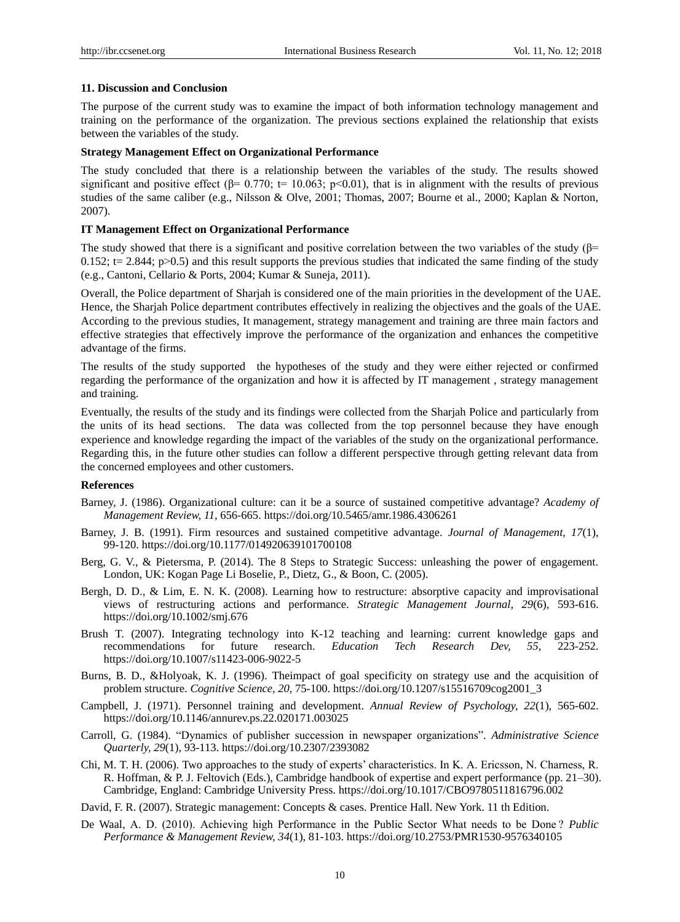# **11. Discussion and Conclusion**

The purpose of the current study was to examine the impact of both information technology management and training on the performance of the organization. The previous sections explained the relationship that exists between the variables of the study.

# **Strategy Management Effect on Organizational Performance**

The study concluded that there is a relationship between the variables of the study. The results showed significant and positive effect ( $\beta$ = 0.770; t= 10.063; p<0.01), that is in alignment with the results of previous studies of the same caliber (e.g., Nilsson & Olve, 2001; Thomas, 2007; Bourne et al., 2000; Kaplan & Norton, 2007).

#### **IT Management Effect on Organizational Performance**

The study showed that there is a significant and positive correlation between the two variables of the study ( $\beta$ =  $0.152$ ; t= 2.844; p>0.5) and this result supports the previous studies that indicated the same finding of the study (e.g., Cantoni, Cellario & Ports, 2004; Kumar & Suneja, 2011).

Overall, the Police department of Sharjah is considered one of the main priorities in the development of the UAE. Hence, the Sharjah Police department contributes effectively in realizing the objectives and the goals of the UAE. According to the previous studies, It management, strategy management and training are three main factors and effective strategies that effectively improve the performance of the organization and enhances the competitive advantage of the firms.

The results of the study supported the hypotheses of the study and they were either rejected or confirmed regarding the performance of the organization and how it is affected by IT management , strategy management and training.

Eventually, the results of the study and its findings were collected from the Sharjah Police and particularly from the units of its head sections. The data was collected from the top personnel because they have enough experience and knowledge regarding the impact of the variables of the study on the organizational performance. Regarding this, in the future other studies can follow a different perspective through getting relevant data from the concerned employees and other customers.

#### **References**

- Barney, J. (1986). Organizational culture: can it be a source of sustained competitive advantage? *Academy of Management Review, 11,* 656-665. https://doi.org/10.5465/amr.1986.4306261
- Barney, J. B. (1991). Firm resources and sustained competitive advantage. *Journal of Management, 17*(1), 99-120. https://doi.org/10.1177/014920639101700108
- Berg, G. V., & Pietersma, P. (2014). The 8 Steps to Strategic Success: unleashing the power of engagement. London, UK: Kogan Page Li Boselie, P., Dietz, G., & Boon, C. (2005).
- Bergh, D. D., & Lim, E. N. K. (2008). Learning how to restructure: absorptive capacity and improvisational views of restructuring actions and performance. *Strategic Management Journal, 29*(6), 593-616. https://doi.org/10.1002/smj.676
- Brush T. (2007). Integrating technology into K-12 teaching and learning: current knowledge gaps and recommendations for future research. *Education Tech Research Dev, 55,* 223-252. https://doi.org/10.1007/s11423-006-9022-5
- Burns, B. D., &Holyoak, K. J. (1996). Theimpact of goal specificity on strategy use and the acquisition of problem structure. *Cognitive Science, 20,* 75-100. https://doi.org/10.1207/s15516709cog2001\_3
- Campbell, J. (1971). Personnel training and development. *Annual Review of Psychology, 22*(1), 565-602. https://doi.org/10.1146/annurev.ps.22.020171.003025
- Carroll, G. (1984). "Dynamics of publisher succession in newspaper organizations". *Administrative Science Quarterly, 29*(1), 93-113. https://doi.org/10.2307/2393082
- Chi, M. T. H. (2006). Two approaches to the study of experts" characteristics. In K. A. Ericsson, N. Charness, R. R. Hoffman, & P. J. Feltovich (Eds.), Cambridge handbook of expertise and expert performance (pp. 21–30). Cambridge, England: Cambridge University Press. https://doi.org/10.1017/CBO9780511816796.002
- David, F. R. (2007). Strategic management: Concepts & cases. Prentice Hall. New York. 11 th Edition.
- De Waal, A. D. (2010). Achieving high Performance in the Public Sector What needs to be Done ? *Public Performance & Management Review, 34*(1), 81-103. https://doi.org/10.2753/PMR1530-9576340105